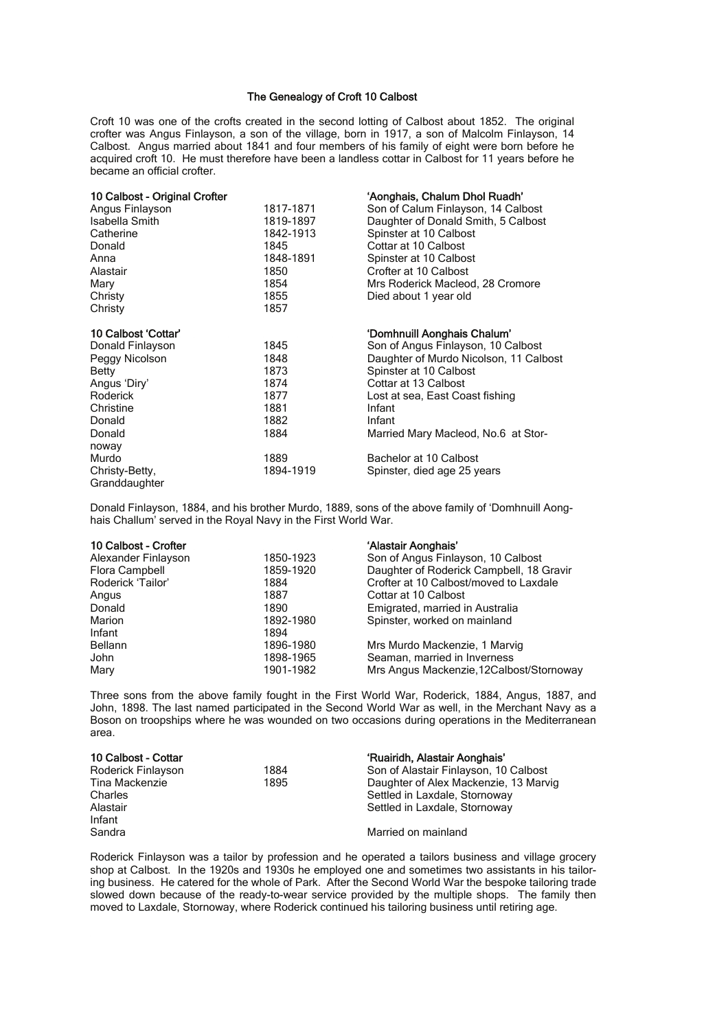## The Genealogy of Croft 10 Calbost

Croft 10 was one of the crofts created in the second lotting of Calbost about 1852. The original crofter was Angus Finlayson, a son of the village, born in 1917, a son of Malcolm Finlayson, 14 Calbost. Angus married about 1841 and four members of his family of eight were born before he acquired croft 10. He must therefore have been a landless cottar in Calbost for 11 years before he became an official crofter.

| 10 Calbost - Original Crofter |           | 'Aonghais, Chalum Dhol Ruadh'          |
|-------------------------------|-----------|----------------------------------------|
| Angus Finlayson               | 1817-1871 | Son of Calum Finlayson, 14 Calbost     |
| Isabella Smith                | 1819-1897 | Daughter of Donald Smith, 5 Calbost    |
| Catherine                     | 1842-1913 | Spinster at 10 Calbost                 |
| Donald                        | 1845      | Cottar at 10 Calbost                   |
| Anna                          | 1848-1891 | Spinster at 10 Calbost                 |
| Alastair                      | 1850      | Crofter at 10 Calbost                  |
| Mary                          | 1854      | Mrs Roderick Macleod, 28 Cromore       |
| Christy                       | 1855      | Died about 1 year old                  |
| Christy                       | 1857      |                                        |
| 10 Calbost 'Cottar'           |           | 'Domhnuill Aonghais Chalum'            |
| Donald Finlayson              | 1845      | Son of Angus Finlayson, 10 Calbost     |
| Peggy Nicolson                | 1848      | Daughter of Murdo Nicolson, 11 Calbost |
| Betty                         | 1873      | Spinster at 10 Calbost                 |
| Angus 'Diry'                  | 1874      | Cottar at 13 Calbost                   |
| Roderick                      | 1877      | Lost at sea, East Coast fishing        |
| Christine                     | 1881      | Infant                                 |
| Donald                        | 1882      | Infant                                 |
| Donald                        | 1884      | Married Mary Macleod, No.6 at Stor-    |
| noway                         |           |                                        |
| Murdo                         | 1889      | Bachelor at 10 Calbost                 |
| Christy-Betty,                | 1894-1919 | Spinster, died age 25 years            |
| Granddaughter                 |           |                                        |

Donald Finlayson, 1884, and his brother Murdo, 1889, sons of the above family of 'Domhnuill Aonghais Challum' served in the Royal Navy in the First World War.

| 10 Calbost - Crofter |           | 'Alastair Aonghais'                      |
|----------------------|-----------|------------------------------------------|
| Alexander Finlayson  | 1850-1923 | Son of Angus Finlayson, 10 Calbost       |
| Flora Campbell       | 1859-1920 | Daughter of Roderick Campbell, 18 Gravir |
| Roderick 'Tailor'    | 1884      | Crofter at 10 Calbost/moved to Laxdale   |
| Angus                | 1887      | Cottar at 10 Calbost                     |
| Donald               | 1890      | Emigrated, married in Australia          |
| Marion               | 1892-1980 | Spinster, worked on mainland             |
| Infant               | 1894      |                                          |
| Bellann              | 1896-1980 | Mrs Murdo Mackenzie, 1 Marvig            |
| John                 | 1898-1965 | Seaman, married in Inverness             |
| Mary                 | 1901-1982 | Mrs Angus Mackenzie, 12Calbost/Stornoway |

Three sons from the above family fought in the First World War, Roderick, 1884, Angus, 1887, and John, 1898. The last named participated in the Second World War as well, in the Merchant Navy as a Boson on troopships where he was wounded on two occasions during operations in the Mediterranean area.

| 10 Calbost - Cottar |      | 'Ruairidh, Alastair Aonghais'         |
|---------------------|------|---------------------------------------|
| Roderick Finlayson  | 1884 | Son of Alastair Finlayson, 10 Calbost |
| Tina Mackenzie      | 1895 | Daughter of Alex Mackenzie, 13 Marvig |
| Charles             |      | Settled in Laxdale, Stornoway         |
| Alastair            |      | Settled in Laxdale, Stornoway         |
| Infant              |      |                                       |
| Sandra              |      | Married on mainland                   |
|                     |      |                                       |

Roderick Finlayson was a tailor by profession and he operated a tailors business and village grocery shop at Calbost. In the 1920s and 1930s he employed one and sometimes two assistants in his tailoring business. He catered for the whole of Park. After the Second World War the bespoke tailoring trade slowed down because of the ready-to-wear service provided by the multiple shops. The family then moved to Laxdale, Stornoway, where Roderick continued his tailoring business until retiring age.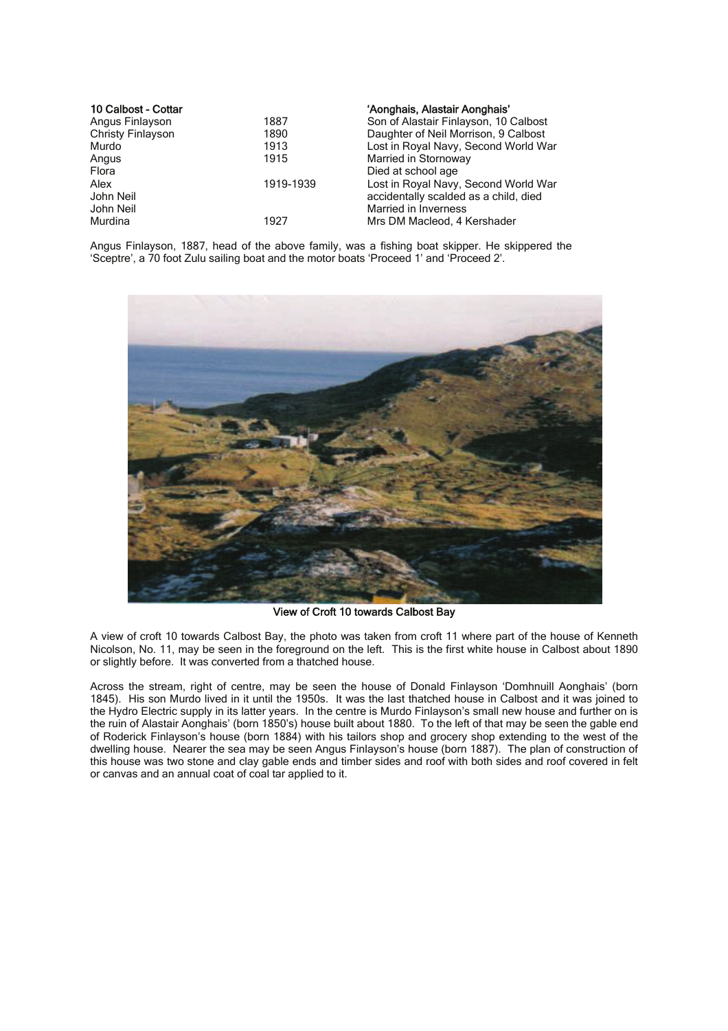| 10 Calbost - Cottar |           | 'Aonghais, Alastair Aonghais'         |
|---------------------|-----------|---------------------------------------|
| Angus Finlayson     | 1887      | Son of Alastair Finlayson, 10 Calbost |
| Christy Finlayson   | 1890      | Daughter of Neil Morrison, 9 Calbost  |
| Murdo               | 1913      | Lost in Royal Navy, Second World War  |
| Angus               | 1915      | Married in Stornoway                  |
| Flora               |           | Died at school age                    |
| Alex                | 1919-1939 | Lost in Royal Navy, Second World War  |
| John Neil           |           | accidentally scalded as a child, died |
| John Neil           |           | <b>Married in Inverness</b>           |
| Murdina             | 1927      | Mrs DM Macleod, 4 Kershader           |

Angus Finlayson, 1887, head of the above family, was a fishing boat skipper. He skippered the 'Sceptre', a 70 foot Zulu sailing boat and the motor boats 'Proceed 1' and 'Proceed 2'.



View of Croft 10 towards Calbost Bay

A view of croft 10 towards Calbost Bay, the photo was taken from croft 11 where part of the house of Kenneth Nicolson, No. 11, may be seen in the foreground on the left. This is the first white house in Calbost about 1890 or slightly before. It was converted from a thatched house.

Across the stream, right of centre, may be seen the house of Donald Finlayson 'Domhnuill Aonghais' (born 1845). His son Murdo lived in it until the 1950s. It was the last thatched house in Calbost and it was joined to the Hydro Electric supply in its latter years. In the centre is Murdo Finlayson's small new house and further on is the ruin of Alastair Aonghais' (born 1850's) house built about 1880. To the left of that may be seen the gable end of Roderick Finlayson's house (born 1884) with his tailors shop and grocery shop extending to the west of the dwelling house. Nearer the sea may be seen Angus Finlayson's house (born 1887). The plan of construction of this house was two stone and clay gable ends and timber sides and roof with both sides and roof covered in felt or canvas and an annual coat of coal tar applied to it.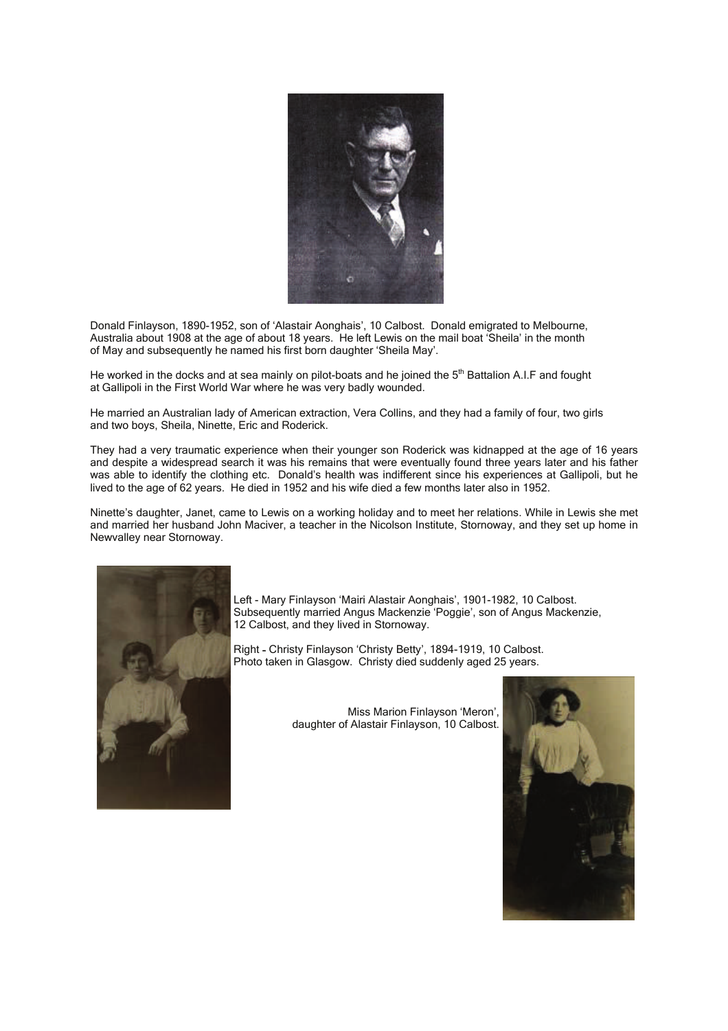

Donald Finlayson, 1890-1952, son of 'Alastair Aonghais', 10 Calbost. Donald emigrated to Melbourne, Australia about 1908 at the age of about 18 years. He left Lewis on the mail boat 'Sheila' in the month of May and subsequently he named his first born daughter 'Sheila May'.

He worked in the docks and at sea mainly on pilot-boats and he joined the 5<sup>th</sup> Battalion A.I.F and fought at Gallipoli in the First World War where he was very badly wounded.

He married an Australian lady of American extraction, Vera Collins, and they had a family of four, two girls and two boys, Sheila, Ninette, Eric and Roderick.

They had a very traumatic experience when their younger son Roderick was kidnapped at the age of 16 years and despite a widespread search it was his remains that were eventually found three years later and his father was able to identify the clothing etc. Donald's health was indifferent since his experiences at Gallipoli, but he lived to the age of 62 years. He died in 1952 and his wife died a few months later also in 1952.

Ninette's daughter, Janet, came to Lewis on a working holiday and to meet her relations. While in Lewis she met and married her husband John Maciver, a teacher in the Nicolson Institute, Stornoway, and they set up home in Newvalley near Stornoway.



Left - Mary Finlayson 'Mairi Alastair Aonghais', 1901-1982, 10 Calbost. Subsequently married Angus Mackenzie 'Poggie', son of Angus Mackenzie, 12 Calbost, and they lived in Stornoway.

Right - Christy Finlayson 'Christy Betty', 1894-1919, 10 Calbost. Photo taken in Glasgow. Christy died suddenly aged 25 years.

> Miss Marion Finlayson 'Meron', daughter of Alastair Finlayson, 10 Calbost.

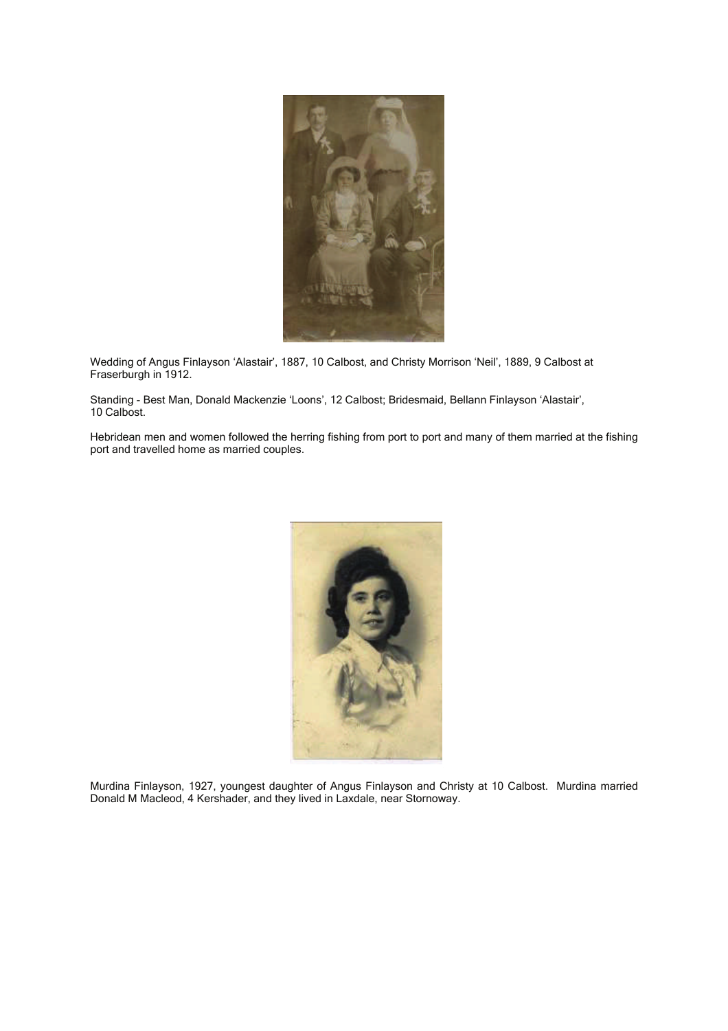

Wedding of Angus Finlayson 'Alastair', 1887, 10 Calbost, and Christy Morrison 'Neil', 1889, 9 Calbost at Fraserburgh in 1912.

Standing - Best Man, Donald Mackenzie 'Loons', 12 Calbost; Bridesmaid, Bellann Finlayson 'Alastair', 10 Calbost.

Hebridean men and women followed the herring fishing from port to port and many of them married at the fishing port and travelled home as married couples.



Murdina Finlayson, 1927, youngest daughter of Angus Finlayson and Christy at 10 Calbost. Murdina married Donald M Macleod, 4 Kershader, and they lived in Laxdale, near Stornoway.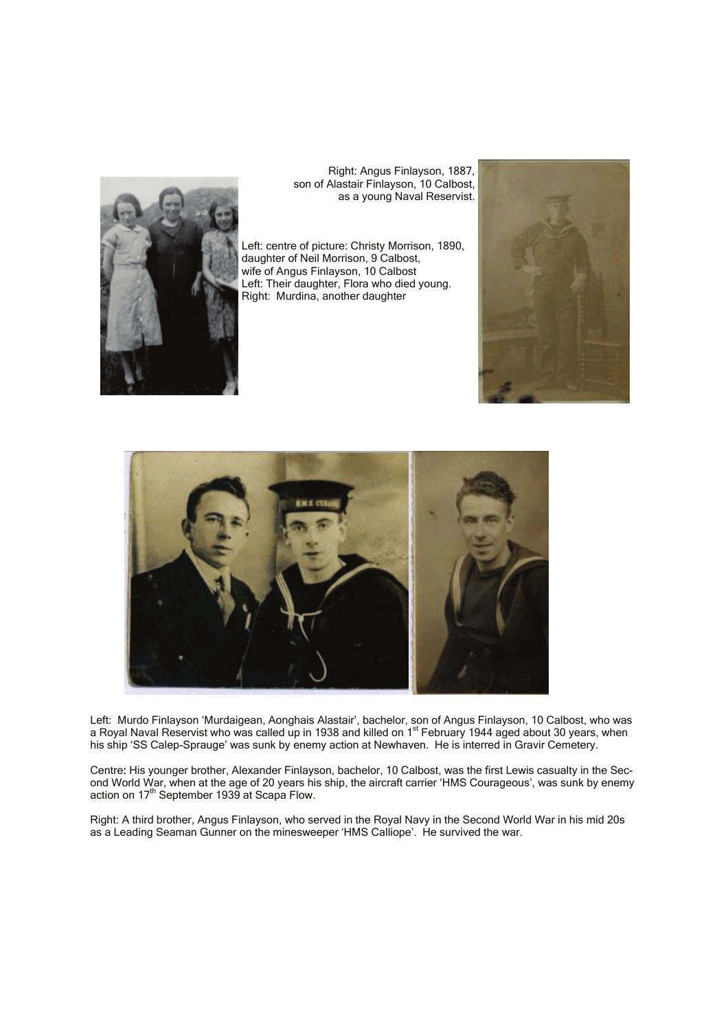

 Right: Angus Finlayson, 1887, son of Alastair Finlayson, 10 Calbost, as a young Naval Reservist.

Left: centre of picture: Christy Morrison, 1890, daughter of Neil Morrison, 9 Calbost, wife of Angus Finlayson, 10 Calbost Left: Their daughter, Flora who died young. Right: Murdina, another daughter





Left: Murdo Finlayson 'Murdaigean, Aonghais Alastair', bachelor, son of Angus Finlayson, 10 Calbost, who was a Royal Naval Reservist who was called up in 1938 and killed on 1<sup>st</sup> February 1944 aged about 30 years, when his ship 'SS Calep-Sprauge' was sunk by enemy action at Newhaven. He is interred in Gravir Cemetery.

Centre: His younger brother, Alexander Finlayson, bachelor, 10 Calbost, was the first Lewis casualty in the Second World War, when at the age of 20 years his ship, the aircraft carrier 'HMS Courageous', was sunk by enemy action on 17<sup>th</sup> September 1939 at Scapa Flow.

Right: A third brother, Angus Finlayson, who served in the Royal Navy in the Second World War in his mid 20s as a Leading Seaman Gunner on the minesweeper 'HMS Calliope'. He survived the war.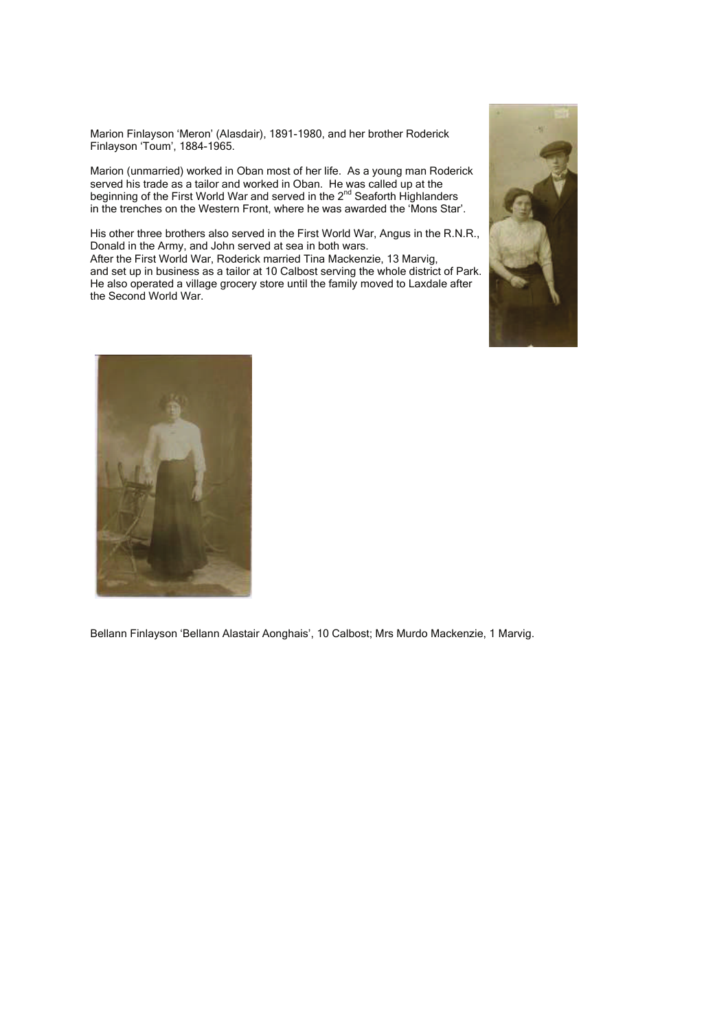Marion Finlayson 'Meron' (Alasdair), 1891-1980, and her brother Roderick Finlayson 'Toum', 1884-1965.

Marion (unmarried) worked in Oban most of her life. As a young man Roderick served his trade as a tailor and worked in Oban. He was called up at the beginning of the First World War and served in the 2<sup>nd</sup> Seaforth Highlanders in the trenches on the Western Front, where he was awarded the 'Mons Star'.

His other three brothers also served in the First World War, Angus in the R.N.R., Donald in the Army, and John served at sea in both wars. After the First World War, Roderick married Tina Mackenzie, 13 Marvig, and set up in business as a tailor at 10 Calbost serving the whole district of Park. He also operated a village grocery store until the family moved to Laxdale after the Second World War.





Bellann Finlayson 'Bellann Alastair Aonghais', 10 Calbost; Mrs Murdo Mackenzie, 1 Marvig.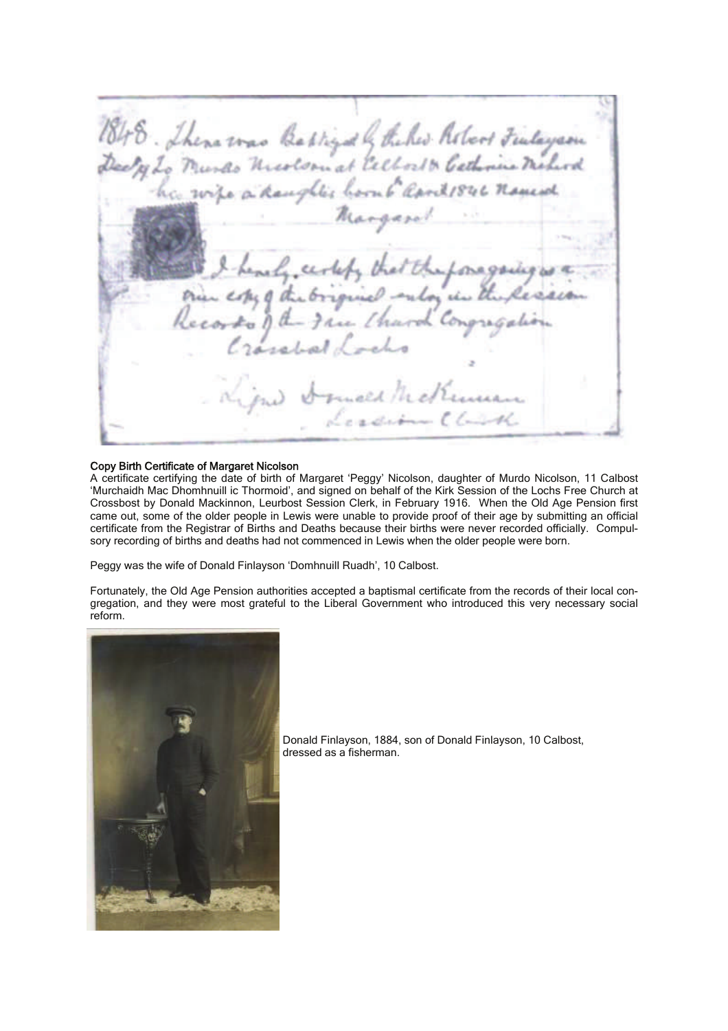1848. There was Babligath the he holos Fulayam Margaret certefa that the foregoing is the Griginal entor is the L. Congregas  $ecorko$ eed hed

## Copy Birth Certificate of Margaret Nicolson

A certificate certifying the date of birth of Margaret 'Peggy' Nicolson, daughter of Murdo Nicolson, 11 Calbost 'Murchaidh Mac Dhomhnuill ic Thormoid', and signed on behalf of the Kirk Session of the Lochs Free Church at Crossbost by Donald Mackinnon, Leurbost Session Clerk, in February 1916. When the Old Age Pension first came out, some of the older people in Lewis were unable to provide proof of their age by submitting an official certificate from the Registrar of Births and Deaths because their births were never recorded officially. Compulsory recording of births and deaths had not commenced in Lewis when the older people were born.

Peggy was the wife of Donald Finlayson 'Domhnuill Ruadh', 10 Calbost.

Fortunately, the Old Age Pension authorities accepted a baptismal certificate from the records of their local congregation, and they were most grateful to the Liberal Government who introduced this very necessary social reform.



Donald Finlayson, 1884, son of Donald Finlayson, 10 Calbost, dressed as a fisherman.